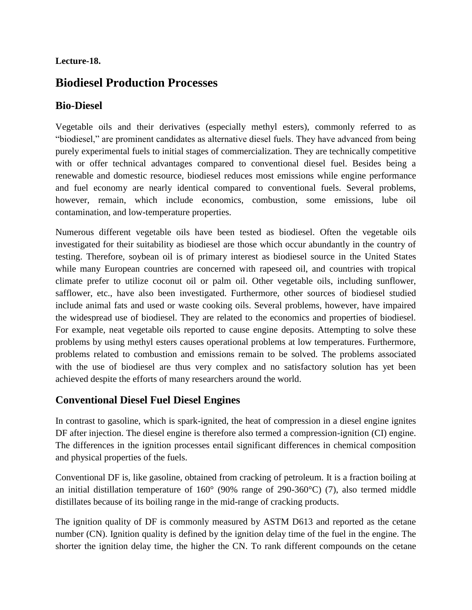#### **Lecture-18.**

# **Biodiesel Production Processes**

# **Bio-Diesel**

Vegetable oils and their derivatives (especially methyl esters), commonly referred to as "biodiesel," are prominent candidates as alternative diesel fuels. They have advanced from being purely experimental fuels to initial stages of commercialization. They are technically competitive with or offer technical advantages compared to conventional diesel fuel. Besides being a renewable and domestic resource, biodiesel reduces most emissions while engine performance and fuel economy are nearly identical compared to conventional fuels. Several problems, however, remain, which include economics, combustion, some emissions, lube oil contamination, and low-temperature properties.

Numerous different vegetable oils have been tested as biodiesel. Often the vegetable oils investigated for their suitability as biodiesel are those which occur abundantly in the country of testing. Therefore, soybean oil is of primary interest as biodiesel source in the United States while many European countries are concerned with rapeseed oil, and countries with tropical climate prefer to utilize coconut oil or palm oil. Other vegetable oils, including sunflower, safflower, etc., have also been investigated. Furthermore, other sources of biodiesel studied include animal fats and used or waste cooking oils. Several problems, however, have impaired the widespread use of biodiesel. They are related to the economics and properties of biodiesel. For example, neat vegetable oils reported to cause engine deposits. Attempting to solve these problems by using methyl esters causes operational problems at low temperatures. Furthermore, problems related to combustion and emissions remain to be solved. The problems associated with the use of biodiesel are thus very complex and no satisfactory solution has yet been achieved despite the efforts of many researchers around the world.

# **Conventional Diesel Fuel Diesel Engines**

In contrast to gasoline, which is spark-ignited, the heat of compression in a diesel engine ignites DF after injection. The diesel engine is therefore also termed a compression-ignition (CI) engine. The differences in the ignition processes entail significant differences in chemical composition and physical properties of the fuels.

Conventional DF is, like gasoline, obtained from cracking of petroleum. It is a fraction boiling at an initial distillation temperature of 160° (90% range of 290-360°C) (7), also termed middle distillates because of its boiling range in the mid-range of cracking products.

The ignition quality of DF is commonly measured by ASTM D613 and reported as the cetane number (CN). Ignition quality is defined by the ignition delay time of the fuel in the engine. The shorter the ignition delay time, the higher the CN. To rank different compounds on the cetane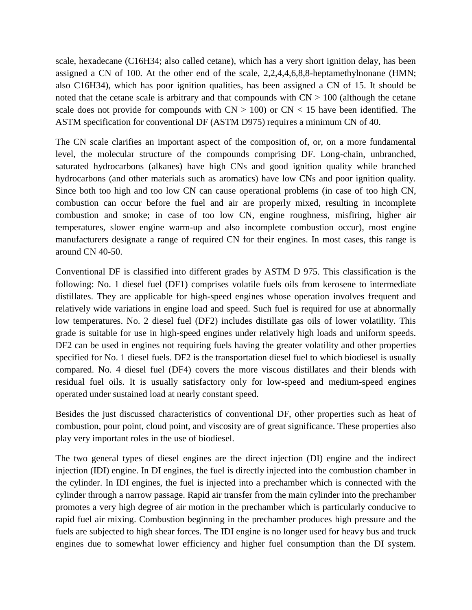scale, hexadecane (C16H34; also called cetane), which has a very short ignition delay, has been assigned a CN of 100. At the other end of the scale, 2,2,4,4,6,8,8-heptamethylnonane (HMN; also C16H34), which has poor ignition qualities, has been assigned a CN of 15. It should be noted that the cetane scale is arbitrary and that compounds with  $CN > 100$  (although the cetane scale does not provide for compounds with  $CN > 100$  or  $CN < 15$  have been identified. The ASTM specification for conventional DF (ASTM D975) requires a minimum CN of 40.

The CN scale clarifies an important aspect of the composition of, or, on a more fundamental level, the molecular structure of the compounds comprising DF. Long-chain, unbranched, saturated hydrocarbons (alkanes) have high CNs and good ignition quality while branched hydrocarbons (and other materials such as aromatics) have low CNs and poor ignition quality. Since both too high and too low CN can cause operational problems (in case of too high CN, combustion can occur before the fuel and air are properly mixed, resulting in incomplete combustion and smoke; in case of too low CN, engine roughness, misfiring, higher air temperatures, slower engine warm-up and also incomplete combustion occur), most engine manufacturers designate a range of required CN for their engines. In most cases, this range is around CN 40-50.

Conventional DF is classified into different grades by ASTM D 975. This classification is the following: No. 1 diesel fuel (DF1) comprises volatile fuels oils from kerosene to intermediate distillates. They are applicable for high-speed engines whose operation involves frequent and relatively wide variations in engine load and speed. Such fuel is required for use at abnormally low temperatures. No. 2 diesel fuel (DF2) includes distillate gas oils of lower volatility. This grade is suitable for use in high-speed engines under relatively high loads and uniform speeds. DF2 can be used in engines not requiring fuels having the greater volatility and other properties specified for No. 1 diesel fuels. DF2 is the transportation diesel fuel to which biodiesel is usually compared. No. 4 diesel fuel (DF4) covers the more viscous distillates and their blends with residual fuel oils. It is usually satisfactory only for low-speed and medium-speed engines operated under sustained load at nearly constant speed.

Besides the just discussed characteristics of conventional DF, other properties such as heat of combustion, pour point, cloud point, and viscosity are of great significance. These properties also play very important roles in the use of biodiesel.

The two general types of diesel engines are the direct injection (DI) engine and the indirect injection (IDI) engine. In DI engines, the fuel is directly injected into the combustion chamber in the cylinder. In IDI engines, the fuel is injected into a prechamber which is connected with the cylinder through a narrow passage. Rapid air transfer from the main cylinder into the prechamber promotes a very high degree of air motion in the prechamber which is particularly conducive to rapid fuel air mixing. Combustion beginning in the prechamber produces high pressure and the fuels are subjected to high shear forces. The IDI engine is no longer used for heavy bus and truck engines due to somewhat lower efficiency and higher fuel consumption than the DI system.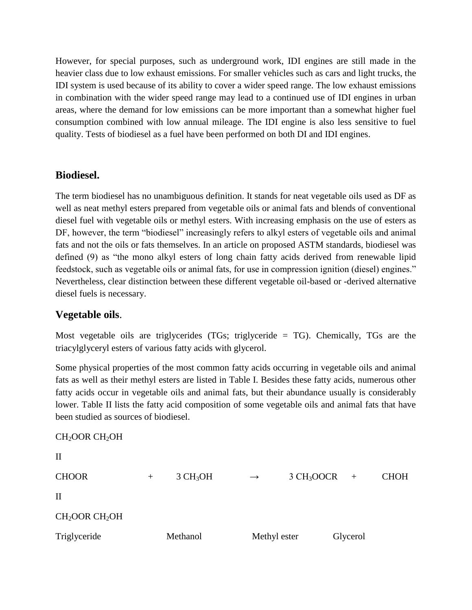However, for special purposes, such as underground work, IDI engines are still made in the heavier class due to low exhaust emissions. For smaller vehicles such as cars and light trucks, the IDI system is used because of its ability to cover a wider speed range. The low exhaust emissions in combination with the wider speed range may lead to a continued use of IDI engines in urban areas, where the demand for low emissions can be more important than a somewhat higher fuel consumption combined with low annual mileage. The IDI engine is also less sensitive to fuel quality. Tests of biodiesel as a fuel have been performed on both DI and IDI engines.

# **Biodiesel.**

The term biodiesel has no unambiguous definition. It stands for neat vegetable oils used as DF as well as neat methyl esters prepared from vegetable oils or animal fats and blends of conventional diesel fuel with vegetable oils or methyl esters. With increasing emphasis on the use of esters as DF, however, the term "biodiesel" increasingly refers to alkyl esters of vegetable oils and animal fats and not the oils or fats themselves. In an article on proposed ASTM standards, biodiesel was defined (9) as "the mono alkyl esters of long chain fatty acids derived from renewable lipid feedstock, such as vegetable oils or animal fats, for use in compression ignition (diesel) engines." Nevertheless, clear distinction between these different vegetable oil-based or -derived alternative diesel fuels is necessary.

# **Vegetable oils**.

Most vegetable oils are triglycerides (TGs; triglyceride = TG). Chemically, TGs are the triacylglyceryl esters of various fatty acids with glycerol.

Some physical properties of the most common fatty acids occurring in vegetable oils and animal fats as well as their methyl esters are listed in Table I. Besides these fatty acids, numerous other fatty acids occur in vegetable oils and animal fats, but their abundance usually is considerably lower. Table II lists the fatty acid composition of some vegetable oils and animal fats that have been studied as sources of biodiesel.

```
CH<sub>2</sub>OOR CH<sub>2</sub>OH
II
CHOOR + 3 CH_3OH → 3 CH_3OOCR + CHOH
II
CH<sub>2</sub>OOR CH<sub>2</sub>OH
Triglyceride Methanol Methyl ester Glycerol
```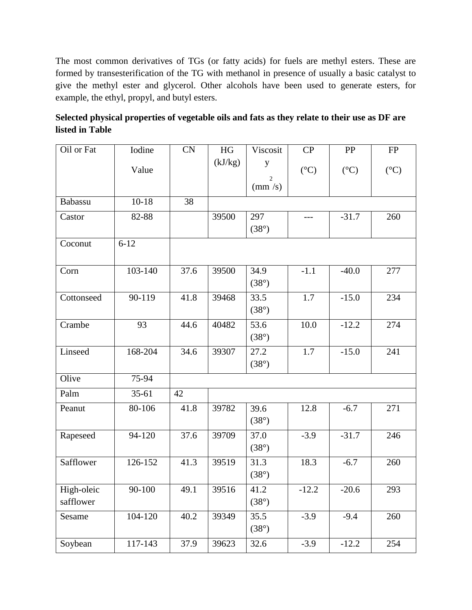The most common derivatives of TGs (or fatty acids) for fuels are methyl esters. These are formed by transesterification of the TG with methanol in presence of usually a basic catalyst to give the methyl ester and glycerol. Other alcohols have been used to generate esters, for example, the ethyl, propyl, and butyl esters.

| Selected physical properties of vegetable oils and fats as they relate to their use as DF are |  |
|-----------------------------------------------------------------------------------------------|--|
| listed in Table                                                                               |  |

| Oil or Fat              | Iodine    | CN   | HG      | Viscosit              | CP              | PP              | ${\rm FP}$      |
|-------------------------|-----------|------|---------|-----------------------|-----------------|-----------------|-----------------|
|                         | Value     |      | (kJ/kg) | y                     | $({}^{\circ}C)$ | $({}^{\circ}C)$ | $({}^{\circ}C)$ |
|                         |           |      |         | 2<br>$\text{(mm /s)}$ |                 |                 |                 |
| Babassu                 | $10-18$   | 38   |         |                       |                 |                 |                 |
| Castor                  | 82-88     |      | 39500   | 297<br>$(38^\circ)$   | ---             | $-31.7$         | 260             |
| Coconut                 | $6 - 12$  |      |         |                       |                 |                 |                 |
| Corn                    | 103-140   | 37.6 | 39500   | 34.9<br>$(38^\circ)$  | $-1.1$          | $-40.0$         | 277             |
| Cottonseed              | 90-119    | 41.8 | 39468   | 33.5<br>$(38^\circ)$  | 1.7             | $-15.0$         | 234             |
| Crambe                  | 93        | 44.6 | 40482   | 53.6<br>$(38^\circ)$  | 10.0            | $-12.2$         | 274             |
| Linseed                 | 168-204   | 34.6 | 39307   | 27.2<br>$(38^\circ)$  | 1.7             | $-15.0$         | 241             |
| Olive                   | 75-94     |      |         |                       |                 |                 |                 |
| Palm                    | $35 - 61$ | 42   |         |                       |                 |                 |                 |
| Peanut                  | 80-106    | 41.8 | 39782   | 39.6<br>$(38^\circ)$  | 12.8            | $-6.7$          | 271             |
| Rapeseed                | 94-120    | 37.6 | 39709   | 37.0<br>$(38^\circ)$  | $-3.9$          | $-31.7$         | 246             |
| Safflower               | 126-152   | 41.3 | 39519   | 31.3<br>$(38^\circ)$  | 18.3            | $-6.7$          | 260             |
| High-oleic<br>safflower | 90-100    | 49.1 | 39516   | 41.2<br>$(38^\circ)$  | $-12.2$         | $-20.6$         | 293             |
| Sesame                  | 104-120   | 40.2 | 39349   | 35.5<br>$(38^\circ)$  | $-3.9$          | $-9.4$          | 260             |
| Soybean                 | 117-143   | 37.9 | 39623   | 32.6                  | $-3.9$          | $-12.2$         | 254             |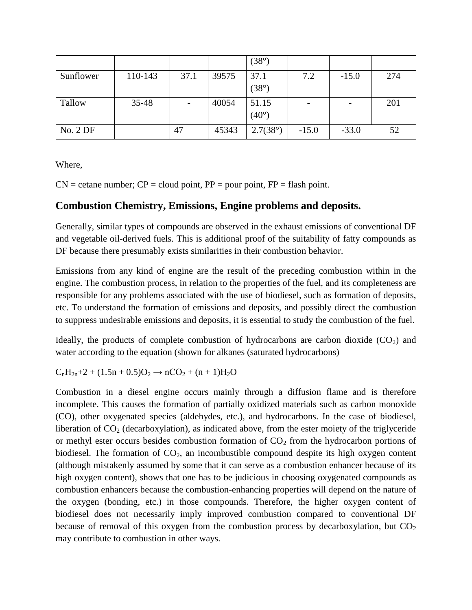|           |         |      |       | $(38^\circ)$      |                          |         |     |
|-----------|---------|------|-------|-------------------|--------------------------|---------|-----|
| Sunflower | 110-143 | 37.1 | 39575 | 37.1              | 7.2                      | $-15.0$ | 274 |
|           |         |      |       | $(38^\circ)$      |                          |         |     |
| Tallow    | 35-48   |      | 40054 | 51.15             | $\overline{\phantom{a}}$ |         | 201 |
|           |         |      |       | $(40^{\circ})$    |                          |         |     |
| No. 2 DF  |         | 47   | 45343 | $2.7(38^{\circ})$ | $-15.0$                  | $-33.0$ | 52  |

Where,

 $CN =$  cetane number;  $CP =$  cloud point,  $PP =$  pour point,  $FP =$  flash point.

### **Combustion Chemistry, Emissions, Engine problems and deposits.**

Generally, similar types of compounds are observed in the exhaust emissions of conventional DF and vegetable oil-derived fuels. This is additional proof of the suitability of fatty compounds as DF because there presumably exists similarities in their combustion behavior.

Emissions from any kind of engine are the result of the preceding combustion within in the engine. The combustion process, in relation to the properties of the fuel, and its completeness are responsible for any problems associated with the use of biodiesel, such as formation of deposits, etc. To understand the formation of emissions and deposits, and possibly direct the combustion to suppress undesirable emissions and deposits, it is essential to study the combustion of the fuel.

Ideally, the products of complete combustion of hydrocarbons are carbon dioxide  $(CO_2)$  and water according to the equation (shown for alkanes (saturated hydrocarbons)

 $C_nH_{2n}+2 + (1.5n + 0.5)O_2 \rightarrow nCO_2 + (n + 1)H_2O$ 

Combustion in a diesel engine occurs mainly through a diffusion flame and is therefore incomplete. This causes the formation of partially oxidized materials such as carbon monoxide (CO), other oxygenated species (aldehydes, etc.), and hydrocarbons. In the case of biodiesel, liberation of  $CO<sub>2</sub>$  (decarboxylation), as indicated above, from the ester moiety of the triglyceride or methyl ester occurs besides combustion formation of  $CO<sub>2</sub>$  from the hydrocarbon portions of biodiesel. The formation of  $CO<sub>2</sub>$ , an incombustible compound despite its high oxygen content (although mistakenly assumed by some that it can serve as a combustion enhancer because of its high oxygen content), shows that one has to be judicious in choosing oxygenated compounds as combustion enhancers because the combustion-enhancing properties will depend on the nature of the oxygen (bonding, etc.) in those compounds. Therefore, the higher oxygen content of biodiesel does not necessarily imply improved combustion compared to conventional DF because of removal of this oxygen from the combustion process by decarboxylation, but  $CO<sub>2</sub>$ may contribute to combustion in other ways.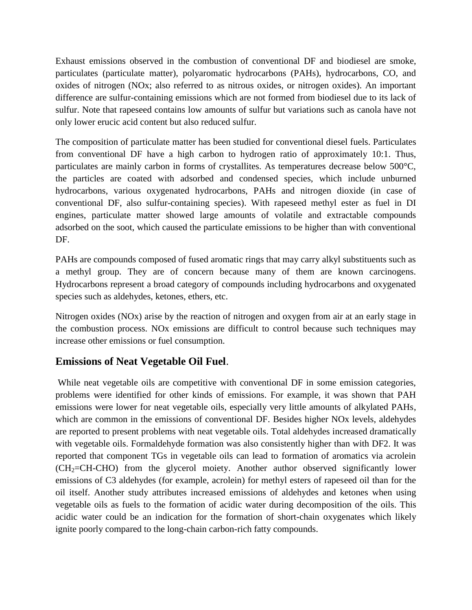Exhaust emissions observed in the combustion of conventional DF and biodiesel are smoke, particulates (particulate matter), polyaromatic hydrocarbons (PAHs), hydrocarbons, CO, and oxides of nitrogen (NOx; also referred to as nitrous oxides, or nitrogen oxides). An important difference are sulfur-containing emissions which are not formed from biodiesel due to its lack of sulfur. Note that rapeseed contains low amounts of sulfur but variations such as canola have not only lower erucic acid content but also reduced sulfur.

The composition of particulate matter has been studied for conventional diesel fuels. Particulates from conventional DF have a high carbon to hydrogen ratio of approximately 10:1. Thus, particulates are mainly carbon in forms of crystallites. As temperatures decrease below 500°C, the particles are coated with adsorbed and condensed species, which include unburned hydrocarbons, various oxygenated hydrocarbons, PAHs and nitrogen dioxide (in case of conventional DF, also sulfur-containing species). With rapeseed methyl ester as fuel in DI engines, particulate matter showed large amounts of volatile and extractable compounds adsorbed on the soot, which caused the particulate emissions to be higher than with conventional DF.

PAHs are compounds composed of fused aromatic rings that may carry alkyl substituents such as a methyl group. They are of concern because many of them are known carcinogens. Hydrocarbons represent a broad category of compounds including hydrocarbons and oxygenated species such as aldehydes, ketones, ethers, etc.

Nitrogen oxides (NOx) arise by the reaction of nitrogen and oxygen from air at an early stage in the combustion process. NOx emissions are difficult to control because such techniques may increase other emissions or fuel consumption.

# **Emissions of Neat Vegetable Oil Fuel**.

While neat vegetable oils are competitive with conventional DF in some emission categories, problems were identified for other kinds of emissions. For example, it was shown that PAH emissions were lower for neat vegetable oils, especially very little amounts of alkylated PAHs, which are common in the emissions of conventional DF. Besides higher NOx levels, aldehydes are reported to present problems with neat vegetable oils. Total aldehydes increased dramatically with vegetable oils. Formaldehyde formation was also consistently higher than with DF2. It was reported that component TGs in vegetable oils can lead to formation of aromatics via acrolein (CH2=CH-CHO) from the glycerol moiety. Another author observed significantly lower emissions of C3 aldehydes (for example, acrolein) for methyl esters of rapeseed oil than for the oil itself. Another study attributes increased emissions of aldehydes and ketones when using vegetable oils as fuels to the formation of acidic water during decomposition of the oils. This acidic water could be an indication for the formation of short-chain oxygenates which likely ignite poorly compared to the long-chain carbon-rich fatty compounds.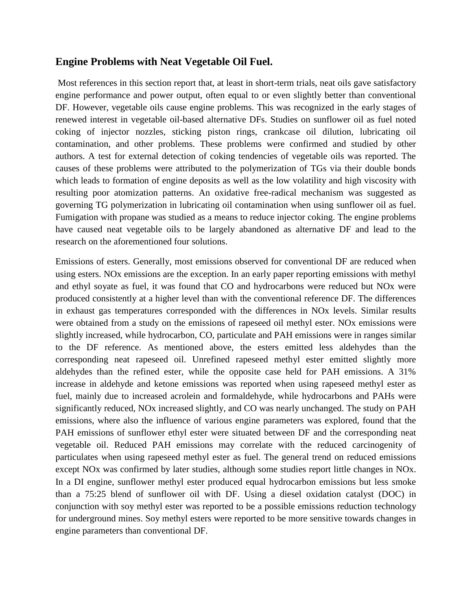#### **Engine Problems with Neat Vegetable Oil Fuel.**

Most references in this section report that, at least in short-term trials, neat oils gave satisfactory engine performance and power output, often equal to or even slightly better than conventional DF. However, vegetable oils cause engine problems. This was recognized in the early stages of renewed interest in vegetable oil-based alternative DFs. Studies on sunflower oil as fuel noted coking of injector nozzles, sticking piston rings, crankcase oil dilution, lubricating oil contamination, and other problems. These problems were confirmed and studied by other authors. A test for external detection of coking tendencies of vegetable oils was reported. The causes of these problems were attributed to the polymerization of TGs via their double bonds which leads to formation of engine deposits as well as the low volatility and high viscosity with resulting poor atomization patterns. An oxidative free-radical mechanism was suggested as governing TG polymerization in lubricating oil contamination when using sunflower oil as fuel. Fumigation with propane was studied as a means to reduce injector coking. The engine problems have caused neat vegetable oils to be largely abandoned as alternative DF and lead to the research on the aforementioned four solutions.

Emissions of esters. Generally, most emissions observed for conventional DF are reduced when using esters. NOx emissions are the exception. In an early paper reporting emissions with methyl and ethyl soyate as fuel, it was found that CO and hydrocarbons were reduced but NOx were produced consistently at a higher level than with the conventional reference DF. The differences in exhaust gas temperatures corresponded with the differences in NOx levels. Similar results were obtained from a study on the emissions of rapeseed oil methyl ester. NOx emissions were slightly increased, while hydrocarbon, CO, particulate and PAH emissions were in ranges similar to the DF reference. As mentioned above, the esters emitted less aldehydes than the corresponding neat rapeseed oil. Unrefined rapeseed methyl ester emitted slightly more aldehydes than the refined ester, while the opposite case held for PAH emissions. A 31% increase in aldehyde and ketone emissions was reported when using rapeseed methyl ester as fuel, mainly due to increased acrolein and formaldehyde, while hydrocarbons and PAHs were significantly reduced, NOx increased slightly, and CO was nearly unchanged. The study on PAH emissions, where also the influence of various engine parameters was explored, found that the PAH emissions of sunflower ethyl ester were situated between DF and the corresponding neat vegetable oil. Reduced PAH emissions may correlate with the reduced carcinogenity of particulates when using rapeseed methyl ester as fuel. The general trend on reduced emissions except NOx was confirmed by later studies, although some studies report little changes in NOx. In a DI engine, sunflower methyl ester produced equal hydrocarbon emissions but less smoke than a 75:25 blend of sunflower oil with DF. Using a diesel oxidation catalyst (DOC) in conjunction with soy methyl ester was reported to be a possible emissions reduction technology for underground mines. Soy methyl esters were reported to be more sensitive towards changes in engine parameters than conventional DF.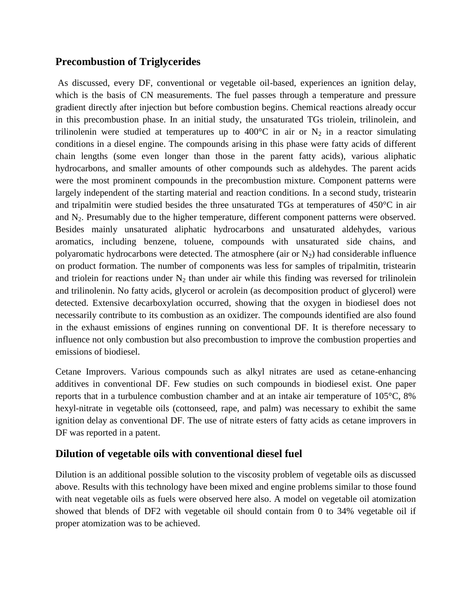### **Precombustion of Triglycerides**

As discussed, every DF, conventional or vegetable oil-based, experiences an ignition delay, which is the basis of CN measurements. The fuel passes through a temperature and pressure gradient directly after injection but before combustion begins. Chemical reactions already occur in this precombustion phase. In an initial study, the unsaturated TGs triolein, trilinolein, and trilinolenin were studied at temperatures up to 400°C in air or  $N_2$  in a reactor simulating conditions in a diesel engine. The compounds arising in this phase were fatty acids of different chain lengths (some even longer than those in the parent fatty acids), various aliphatic hydrocarbons, and smaller amounts of other compounds such as aldehydes. The parent acids were the most prominent compounds in the precombustion mixture. Component patterns were largely independent of the starting material and reaction conditions. In a second study, tristearin and tripalmitin were studied besides the three unsaturated TGs at temperatures of 450°C in air and  $N_2$ . Presumably due to the higher temperature, different component patterns were observed. Besides mainly unsaturated aliphatic hydrocarbons and unsaturated aldehydes, various aromatics, including benzene, toluene, compounds with unsaturated side chains, and polyaromatic hydrocarbons were detected. The atmosphere (air or  $N_2$ ) had considerable influence on product formation. The number of components was less for samples of tripalmitin, tristearin and triolein for reactions under  $N_2$  than under air while this finding was reversed for trilinolein and trilinolenin. No fatty acids, glycerol or acrolein (as decomposition product of glycerol) were detected. Extensive decarboxylation occurred, showing that the oxygen in biodiesel does not necessarily contribute to its combustion as an oxidizer. The compounds identified are also found in the exhaust emissions of engines running on conventional DF. It is therefore necessary to influence not only combustion but also precombustion to improve the combustion properties and emissions of biodiesel.

Cetane Improvers. Various compounds such as alkyl nitrates are used as cetane-enhancing additives in conventional DF. Few studies on such compounds in biodiesel exist. One paper reports that in a turbulence combustion chamber and at an intake air temperature of 105°C, 8% hexyl-nitrate in vegetable oils (cottonseed, rape, and palm) was necessary to exhibit the same ignition delay as conventional DF. The use of nitrate esters of fatty acids as cetane improvers in DF was reported in a patent.

# **Dilution of vegetable oils with conventional diesel fuel**

Dilution is an additional possible solution to the viscosity problem of vegetable oils as discussed above. Results with this technology have been mixed and engine problems similar to those found with neat vegetable oils as fuels were observed here also. A model on vegetable oil atomization showed that blends of DF2 with vegetable oil should contain from 0 to 34% vegetable oil if proper atomization was to be achieved.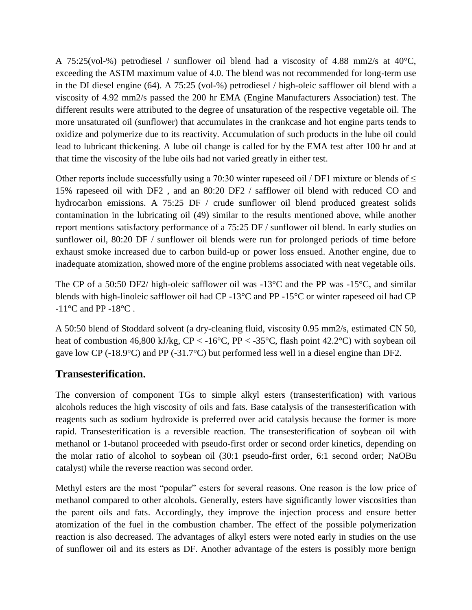A 75:25(vol-%) petrodiesel / sunflower oil blend had a viscosity of 4.88 mm2/s at 40 $^{\circ}$ C, exceeding the ASTM maximum value of 4.0. The blend was not recommended for long-term use in the DI diesel engine (64). A 75:25 (vol-%) petrodiesel / high-oleic safflower oil blend with a viscosity of 4.92 mm2/s passed the 200 hr EMA (Engine Manufacturers Association) test. The different results were attributed to the degree of unsaturation of the respective vegetable oil. The more unsaturated oil (sunflower) that accumulates in the crankcase and hot engine parts tends to oxidize and polymerize due to its reactivity. Accumulation of such products in the lube oil could lead to lubricant thickening. A lube oil change is called for by the EMA test after 100 hr and at that time the viscosity of the lube oils had not varied greatly in either test.

Other reports include successfully using a 70:30 winter rapeseed oil / DF1 mixture or blends of  $\leq$ 15% rapeseed oil with DF2 , and an 80:20 DF2 / safflower oil blend with reduced CO and hydrocarbon emissions. A 75:25 DF / crude sunflower oil blend produced greatest solids contamination in the lubricating oil (49) similar to the results mentioned above, while another report mentions satisfactory performance of a 75:25 DF / sunflower oil blend. In early studies on sunflower oil, 80:20 DF / sunflower oil blends were run for prolonged periods of time before exhaust smoke increased due to carbon build-up or power loss ensued. Another engine, due to inadequate atomization, showed more of the engine problems associated with neat vegetable oils.

The CP of a 50:50 DF2/ high-oleic safflower oil was -13°C and the PP was -15°C, and similar blends with high-linoleic safflower oil had CP -13°C and PP -15°C or winter rapeseed oil had CP  $-11^{\circ}$ C and PP  $-18^{\circ}$ C.

A 50:50 blend of Stoddard solvent (a dry-cleaning fluid, viscosity 0.95 mm2/s, estimated CN 50, heat of combustion 46,800 kJ/kg,  $CP < -16^{\circ}C$ , PP  $< -35^{\circ}C$ , flash point 42.2°C) with soybean oil gave low CP (-18.9°C) and PP (-31.7°C) but performed less well in a diesel engine than DF2.

# **Transesterification.**

The conversion of component TGs to simple alkyl esters (transesterification) with various alcohols reduces the high viscosity of oils and fats. Base catalysis of the transesterification with reagents such as sodium hydroxide is preferred over acid catalysis because the former is more rapid. Transesterification is a reversible reaction. The transesterification of soybean oil with methanol or 1-butanol proceeded with pseudo-first order or second order kinetics, depending on the molar ratio of alcohol to soybean oil (30:1 pseudo-first order, 6:1 second order; NaOBu catalyst) while the reverse reaction was second order.

Methyl esters are the most "popular" esters for several reasons. One reason is the low price of methanol compared to other alcohols. Generally, esters have significantly lower viscosities than the parent oils and fats. Accordingly, they improve the injection process and ensure better atomization of the fuel in the combustion chamber. The effect of the possible polymerization reaction is also decreased. The advantages of alkyl esters were noted early in studies on the use of sunflower oil and its esters as DF. Another advantage of the esters is possibly more benign